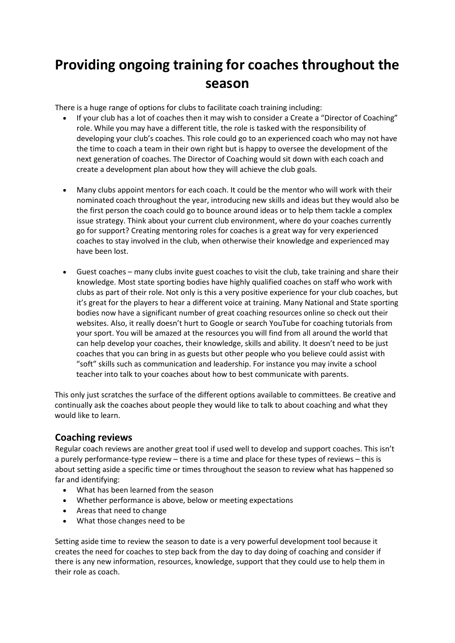## **Providing ongoing training for coaches throughout the season**

There is a huge range of options for clubs to facilitate coach training including:

- If your club has a lot of coaches then it may wish to consider a Create a "Director of Coaching" role. While you may have a different title, the role is tasked with the responsibility of developing your club's coaches. This role could go to an experienced coach who may not have the time to coach a team in their own right but is happy to oversee the development of the next generation of coaches. The Director of Coaching would sit down with each coach and create a development plan about how they will achieve the club goals.
- Many clubs appoint mentors for each coach. It could be the mentor who will work with their nominated coach throughout the year, introducing new skills and ideas but they would also be the first person the coach could go to bounce around ideas or to help them tackle a complex issue strategy. Think about your current club environment, where do your coaches currently go for support? Creating mentoring roles for coaches is a great way for very experienced coaches to stay involved in the club, when otherwise their knowledge and experienced may have been lost.
- Guest coaches many clubs invite guest coaches to visit the club, take training and share their knowledge. Most state sporting bodies have highly qualified coaches on staff who work with clubs as part of their role. Not only is this a very positive experience for your club coaches, but it's great for the players to hear a different voice at training. Many National and State sporting bodies now have a significant number of great coaching resources online so check out their websites. Also, it really doesn't hurt to Google or search YouTube for coaching tutorials from your sport. You will be amazed at the resources you will find from all around the world that can help develop your coaches, their knowledge, skills and ability. It doesn't need to be just coaches that you can bring in as guests but other people who you believe could assist with "soft" skills such as communication and leadership. For instance you may invite a school teacher into talk to your coaches about how to best communicate with parents.

This only just scratches the surface of the different options available to committees. Be creative and continually ask the coaches about people they would like to talk to about coaching and what they would like to learn.

## **Coaching reviews**

Regular coach reviews are another great tool if used well to develop and support coaches. This isn't a purely performance-type review – there is a time and place for these types of reviews – this is about setting aside a specific time or times throughout the season to review what has happened so far and identifying:

- What has been learned from the season
- Whether performance is above, below or meeting expectations
- Areas that need to change
- What those changes need to be

Setting aside time to review the season to date is a very powerful development tool because it creates the need for coaches to step back from the day to day doing of coaching and consider if there is any new information, resources, knowledge, support that they could use to help them in their role as coach.